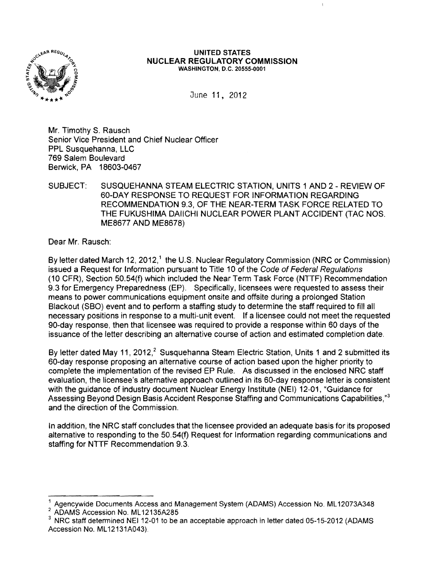

#### **UNITED STATES NUCLEAR REGULATORY COMMISSION** WASHINGTON, D.C. 20555·0001

June 11,2012

Mr. Timothy S. Rausch Senior Vice President and Chief Nuclear Officer PPL Susquehanna, LLC 769 Salem Boulevard Berwick, PA 18603-0467

SUBJECT: SUSQUEHANNA STEAM ELECTRIC STATION, UNITS 1 AND 2 - REVIEW OF 60-DAY RESPONSE TO REQUEST FOR INFORMATION REGARDING RECOMMENDATION 9.3, OF THE NEAR-TERM TASK FORCE RELATED TO THE FUKUSHIMA DAIICHI NUCLEAR POWER PLANT ACCIDENT (TAC NOS. ME8677 AND ME8678)

Dear Mr. Rausch:

By letter dated March 12, 2012,<sup>1</sup> the U.S. Nuclear Regulatory Commission (NRC or Commission) issued a Request for Information pursuant to Title 10 of the Code of Federal Regulations (10 CFR), Section 50.54(f) which included the Near Term Task Force (NTTF) Recommendation 9.3 for Emergency Preparedness (EP). Specifically, licensees were requested to assess their means to power communications equipment onsite and offsite during a prolonged Station Blackout (SBO) event and to perform a staffing study to determine the staff required to fill all necessary positions in response to a multi-unit event. If a licensee could not meet the requested 90-day response, then that licensee was required to provide a response within 60 days of the issuance of the letter describing an alternative course of action and estimated completion date.

By letter dated May 11, 2012,<sup>2</sup> Susquehanna Steam Electric Station, Units 1 and 2 submitted its 60-day response proposing an alternative course of action based upon the higher priority to complete the implementation of the revised EP Rule. As discussed in the enclosed NRC staff evaluation, the licensee's alternative approach outlined in its 60-day response letter is consistent with the guidance of industry document Nuclear Energy Institute (NEI) 12-01, "Guidance for Assessing Beyond Design Basis Accident Response Staffing and Communications Capabilities,"<sup>3</sup> and the direction of the Commission.

In addition, the NRC staff concludes that the licensee provided an adequate basis for its proposed alternative to responding to the 50.54{f) Request for Information regarding communications and staffing for NTTF Recommendation 9.3.

<sup>&</sup>lt;sup>1</sup> Agencywide Documents Access and Management System (ADAMS) Accession No. ML12073A348

<sup>2</sup> ADAMS Accession No. ML 12135A285

<sup>3</sup> NRC staff determined NEI 12-01 to be an acceptable approach in letter dated 05-15-2012 (ADAMS Accession No. ML 12131A043).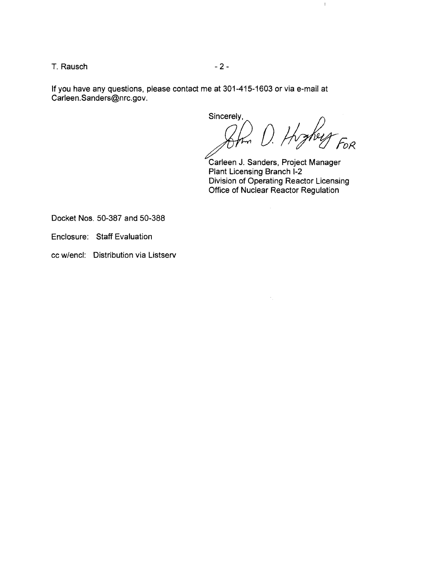$T.$  Rausch  $-2-$ 

If you have any questions, please contact me at 301-415-1603 or via e-mail at Carleen.Sanders@nrc.gov.

Sincerely,  $\hat{U}$ . Highey For

 $\mathbf{I}$ 

Carleen J. Sanders, Project Manager Plant Licensing Branch I-2 Division of Operating Reactor Licensing Office of Nuclear Reactor Regulation

Docket Nos. 50-387 and 50-388

Enclosure: Staff Evaluation

cc w/encl: Distribution via Listserv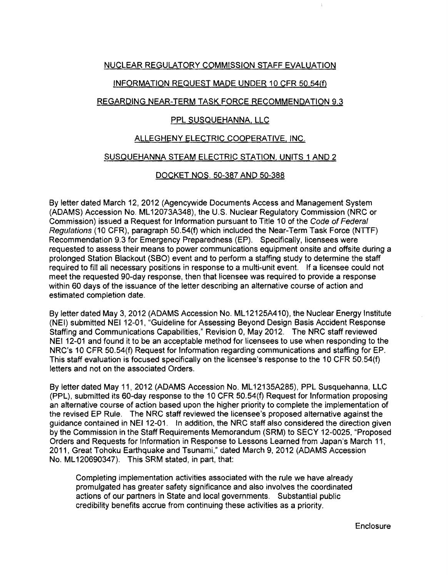## NUCLEAR REGULATORY COMMISSION STAFF EVALUATION

## INFORMATION REQUEST MADE UNDER 10 CFR SO.S4(f)

## REGARDING NEAR-TERM TASK FORCE RECOMMENDATION 9.3

# PPL SUSQUEHANNA, LLC

## ALLEGHENY ELECTRIC COOPERATIVE, INC.

#### SUSQUEHANNA STEAM ELECTRIC STATION, UNITS 1 AND 2

### DOCKET NOS. SO-387 AND SO-388

By letter dated March 12, 2012 (Agencywide Documents Access and Management System (ADAMS) Accession No. ML 12073A348), the U.S. Nuclear Regulatory Commission (NRC or Commission) issued a Request for Information pursuant to Title 10 of the Code of Federal Regulations (10 CFR), paragraph SO.S4(f) which included the Near-Term Task Force (NTTF) Recommendation 9.3 for Emergency Preparedness (EP), Specifically, licensees were requested to assess their means to power communications equipment onsite and offsite during a prolonged Station Blackout (SBO) event and to perform a staffing study to determine the staff required to fill all necessary positions in response to a multi-unit event. If a licensee could not meet the requested 90-day response, then that licensee was required to provide a response within 60 days of the issuance of the letter describing an alternative course of action and estimated completion date.

By letter dated May 3, 2012 (ADAMS Accession No. ML12125A410), the Nuclear Energy Institute (NEI) submitted NEI 12-01, "Guideline for Assessing Beyond Design Basis Accident Response Staffing and Communications Capabilities," Revision 0, May 2012. The NRC staff reviewed NEI 12-01 and found it to be an acceptable method for licensees to use when responding to the NRC's 10 CFR SO.S4(f) Request for Information regarding communications and staffing for EP. This staff evaluation is focused specifically on the licensee's response to the 10 CFR SO.S4(f) letters and not on the associated Orders.

By letter dated May 11, 2012 (ADAMS Accession No. ML 1213SA28S), PPL Susquehanna, LLC (PPL), submitted its 60-day response to the 10 CFR SO.S4(f) Request for Information proposing an alternative course of action based upon the higher priority to complete the implementation of the revised EP Rule. The NRC staff reviewed the licensee's proposed alternative against the guidance contained in NEI12-01. In addition, the NRC staff also considered the direction given by the Commission in the Staff Requirements Memorandum (SRM) to SECY 12-002S, "Proposed Orders and Requests for Information in Response to Lessons Learned from Japan's March 11, 2011, Great Tohoku Earthquake and Tsunami," dated March 9,2012 (ADAMS Accession No. ML 120690347). This SRM stated, in part, that:

Completing implementation activities associated with the rule we have already promulgated has greater safety significance and also involves the coordinated actions of our partners in State and local governments. Substantial public credibility benefits accrue from continuing these activities as a priority.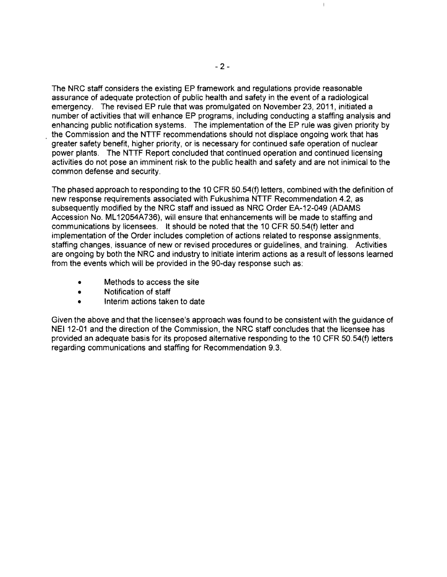The NRC staff considers the existing EP framework and regulations provide reasonable assurance of adequate protection of public health and safety in the event of a radiological emergency. The revised EP rule that was promulgated on November 23, 2011, initiated a number of activities that will enhance EP programs, including conducting a staffing analysis and enhancing public notification systems. The implementation of the EP rule was given priority by the Commission and the NTTF recommendations should not displace ongoing work that has greater safety benefit, higher priority, or is necessary for continued safe operation of nuclear power plants. The NTTF Report concluded that continued operation and continued licensing activities do not pose an imminent risk to the public health and safety and are not inimical to the common defense and security.

The phased approach to responding to the 10 CFR 50.54(f) letters, combined with the definition of new response requirements associated with Fukushima NTTF Recommendation 4.2, as subsequently modified by the NRC staff and issued as NRC Order EA-12-049 (ADAMS Accession No. ML 12054A736), will ensure that enhancements will be made to staffing and communications by licensees. It should be noted that the 10 CFR 50.54(f) letter and implementation of the Order includes completion of actions related to response assignments, staffing changes, issuance of new or revised procedures or guidelines, and training. Activities are ongoing by both the NRC and industry to initiate interim actions as a result of lessons learned from the events which will be provided in the 90-day response such as:

- Methods to access the site
- Notification of staff
- Interim actions taken to date

Given the above and that the licensee's approach was found to be consistent with the guidance of NEI 12-01 and the direction of the Commission, the NRC staff concludes that the licensee has provided an adequate basis for its proposed alternative responding to the 10 CFR 50.54(1) letters regarding communications and staffing for Recommendation 9.3.

 $\bar{1}$